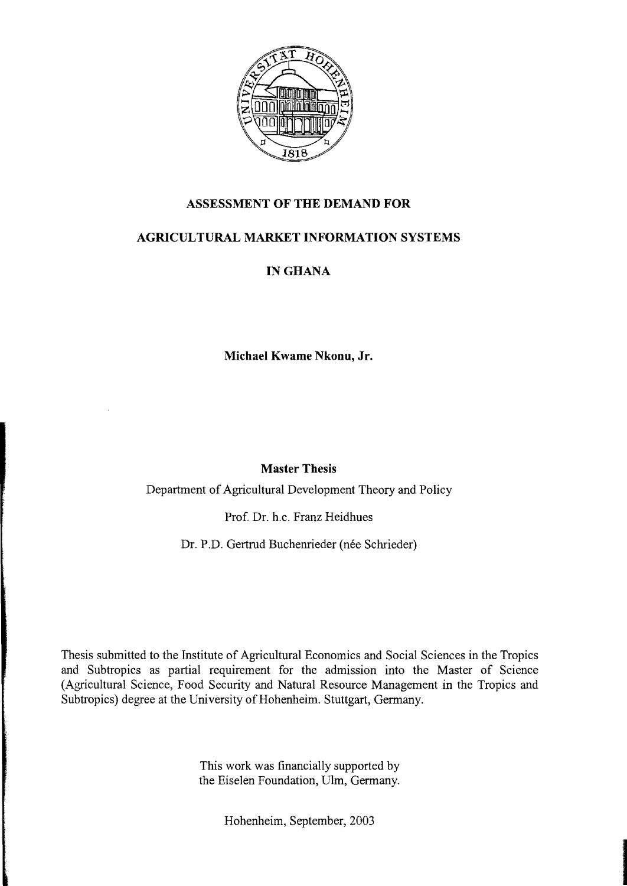

## **ASSESSMENT OF THE DEMAND FOR**

# **AGRICULTURAL MARKET INFORMATION SYSTEMS**

# IN GHANA

**Michael Kwame Nkonu, Jr.** 

## **Master Thesis**

Department of Agricultural Development Theory and Policy

Prof. Dr. h.c. Franz Heidhues

Dr. P.D. Gertrud Buchenrieder (née Schrieder)

Thesis submitted to the Institute of Agricultural Economics and Social Sciences in the Tropics and Subtropics as partial requirement for the admission into the Master of Science (Agricultural Science, Food Security and Natural Resource Management in the Tropics and Subtropics) degree at the University of Hohenheim. Stuttgart, Germany.

> This work was financially supported by the Eiselen Foundation, Ulm, Germany.

> > Hohenheim, September, 2003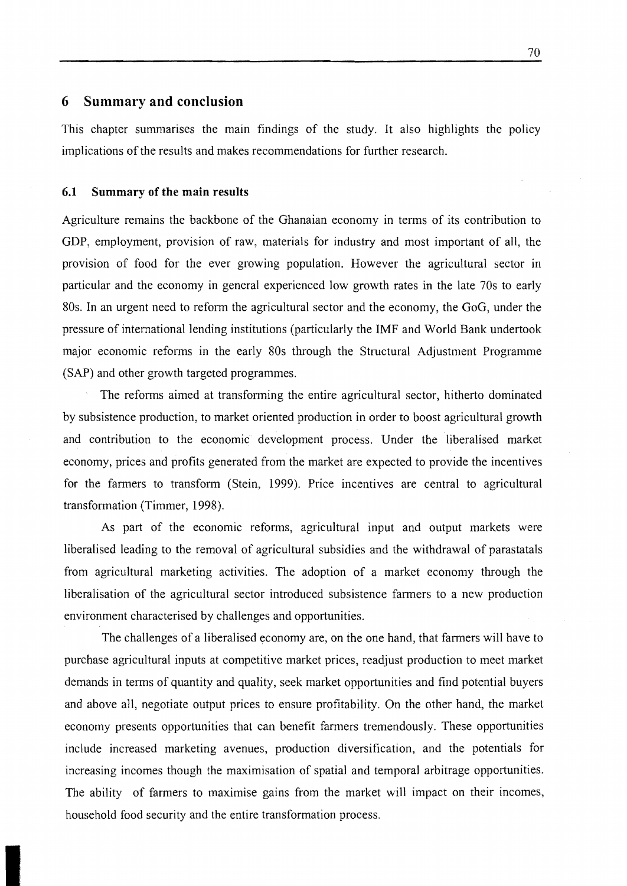## **6 Summary and conclusion**

This chapter summarises the main findings of the study. It also highlights the policy implications of the results and makes recommendations for further research.

#### **6.1 Summary of the main results**

Agriculture remains the backbone of the Ghanaian economy in terms of its contribution to GDP, employment, provision of raw, materials for industry and most important of all, the provision of food for the ever growing population. However the agricultural sector in particular and the economy in general experienced low growth rates in the late 70s to early 80s. In an urgent need to reform the agricultural sector and the economy, the GoG, under the pressure of international lending institutions (particularly the IMF and World Bank undertook major economic reforms in the early 80s through the Structural Adjustment Programme (SAP) and other growth targeted programmes.

The reforms aimed at transforming the entire agricultural sector, hitherto dominated by subsistence production, to market oriented production in order to boost agricultural growth and contribution to the economic development process. Under the liberalised market economy, prices and profits generated from the market are expected to provide the incentives for the farmers to transform (Stein, 1999). Price incentives are central to agricultural transformation (Timmer, 1998).

As part of the economic reforms, agricultural input and output markets were liberalised leading to the removal of agricultural subsidies and the withdrawal of parastatals from agricultural marketing activities. The adoption of a market economy through the liberalisation of the agricultural sector introduced subsistence farmers to a new production environment characterised by challenges and opportunities.

The challenges of a liberalised economy are, on the one hand, that farmers will have to purchase agricultural inputs at competitive market prices, readjust production to meet market demands in terms of quantity and quality, seek market opportunities and find potential buyers and above all, negotiate output prices to ensure profitability. On the other hand, the market economy presents opportunities that can benefit farmers tremendously. These opportunities include increased marketing avenues, production diversification, and the potentials for increasing incomes though the maximisation of spatial and temporal arbitrage opportunities. The ability of farmers to maximise gains from the market will impact on their incomes, household food security and the entire transformation process.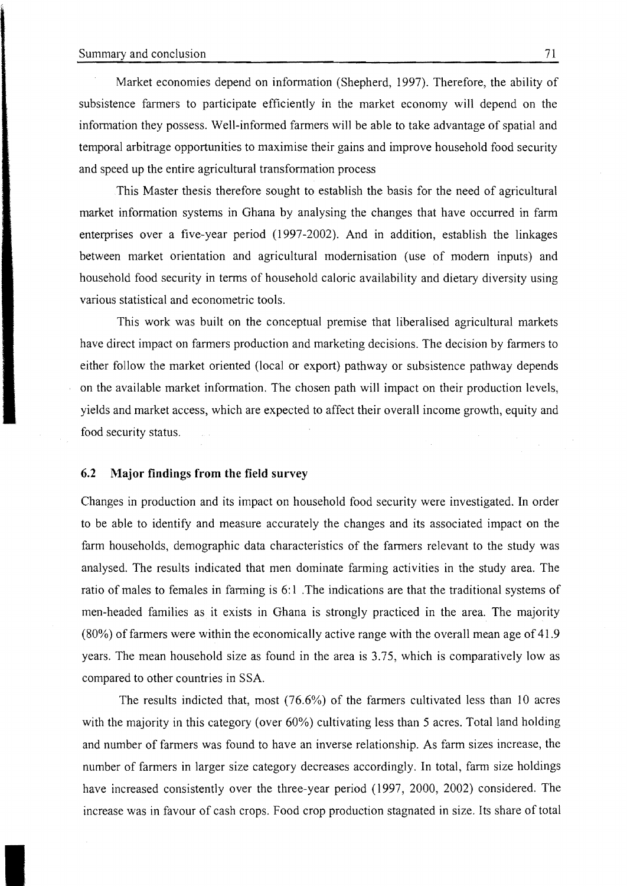Market economies depend on information (Shepherd, 1997). Therefore, the ability of subsistence farmers to participate efficiently in the market economy will depend on the information they possess. Well-informed farmers will be able to take advantage of spatial and temporal arbitrage opportunities to maximise their gains and improve household food security and speed up the entire agricultural transformation process

This Master thesis therefore sought to establish the basis for the need of agricuItural market information systems in Ghana by analysing the changes that have occurred in farm enterprises over a five-year period (1997-2002). And in addition, establish the linkages between market orientation and agricultural modemisation (use of modem inputs) and household food security in terms of household caloric availability and dietary diversity using various statistical and econometric tools.

This work was built on the conceptual premise that liberalised agricultural markets have direct impact on farmers production and marketing decisions. The decision by farmers to either follow the market oriented (local or export) pathway or subsistence pathway depends on the available market information. The chosen path will impact on their production levels, yields and market access, which are expected to affect their overall income growth, equity and food security status.

### 6.2 Major findings from the field survey

Changes in production and its impact on household food security were investigated. In order to be able to identify and measure accurately the changes and its associated impact on the farm households, demographie data characteristics of the farmers relevant to the study was analysed. The results indicated that men dominate farming activities in the study area. The ratio of males to females in farming is 6:1. The indications are that the traditional systems of men-headed families as it exists in Ghana is strongly practiced in the area. The majority  $(80%)$  of farmers were within the economically active range with the overall mean age of 41.9 years. The mean household size as found in the area is 3.75, which is comparatively low as compared to other countries in SSA.

The results indicted that, most (76.6%) of the farmers cultivated less than 10 acres with the majority in this category (over 60%) cultivating less than 5 acres. Total land holding and number of farmers was found to have an inverse relationship. As farm sizes increase, the number of farmers in larger size category decreases accordingly. In total, farm size holdings have increased consistently over the three-year period (1997, 2000, 2002) considered. The increase was in favour of cash crops. Food crop production stagnated in size. Its share of total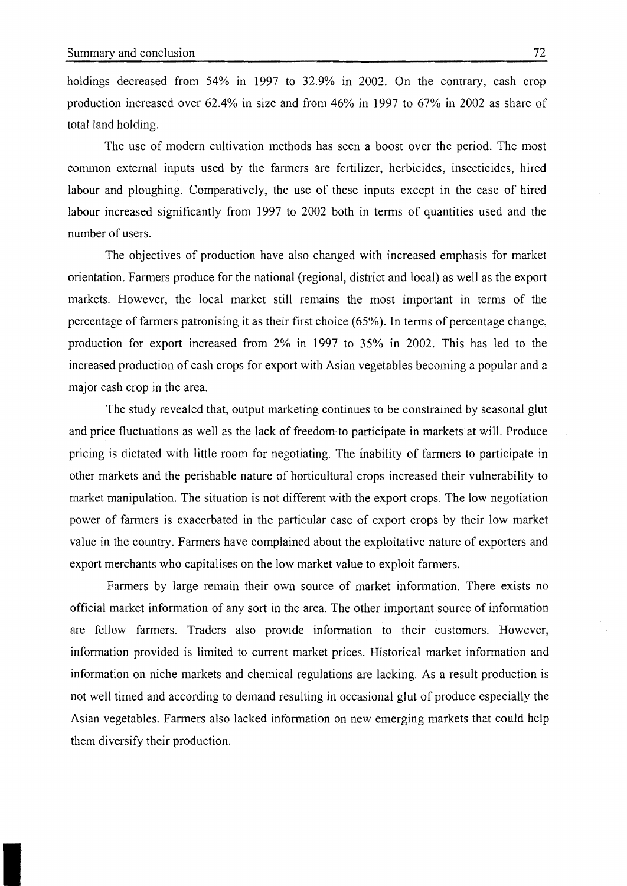holdings decreased from 54% in 1997 to 32.9% in 2002. On the contrary, cash crop production increased over 62.4% in size and from 46% in 1997 to 67% in 2002 as share of total land holding.

The use of modern cultivation methods has seen a boost over the period. The most common external inputs used by. the farmers are fertilizer, herbicides, insecticides, hired labour and ploughing. Comparatively, the use of these inputs except in the case of hired labour increased significantly from 1997 to 2002 both in terms of quantities used and the number of users.

The objectives of production have also changed with increased emphasis for market orientation. Farmers produce for the national (regional, district and local) as weil as the export markets. However, the local market still remains the most important in terms of the percentage of farmers patronising it as their first choice (65%). In terms of percentage change, production for export increased from 2% in 1997 to 35% in 2002. This has led to the increased production of cash crops for export with Asian vegetables becoming a popular and a major cash crop in the area.

The study revealed that, output marketing continues to be constrained by seasonal glut and price fluctuations as weIl as the lack of freedom to participate in markets at will. Produce pricing is dictated with little room for negotiating. The inability of farmers to participate in other markets and the perishable nature of horticultural crops increased their vulnerability to market manipulation. The situation is not different with the export crops. The low negotiation power of farmers is exacerbated in the particular case of export crops by their low market value in the country. Farmers have complained about the exploitative nature of exporters and export merchants who capitalises on the low market value to exploit farmers.

Farmers by large remain their own source of market information. There exists no official market information of any sort in the area. The other important source of information are fellow farmers. Traders also provide information to their customers. However, information provided is limited to current market prices. Historical market information and information on niche markets and chemical regulations are lacking. As a result production is not weil timed and according to demand resulting in occasional glut of produce especially the Asian vegetables. Farmers also lacked information on new emerging markets that could help them diversify their production.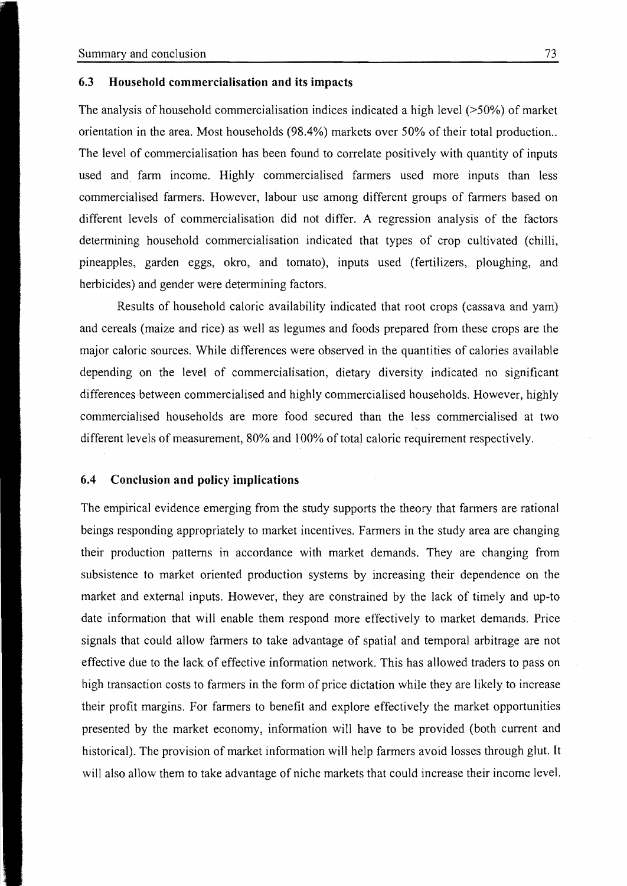### 6.3 **Household commercialisation and its impacts**

The analysis of household commercialisation indices indicated a high level (>50%) of market orientation in the area. Most households (98.4%) markets over 50% of their total production.. The level of commercialisation has been found to correlate positively with quantity of inputs used and farm income. Highly commercialised farmers used more inputs than less commercialised farmers. However, labour use among different groups of farmers based on different levels of commercialisation did not differ. A regression analysis of the factors determining household commercialisation indicated that types of crop cultivated (chilIi, pineapples, garden eggs, okro, and tomato), inputs used (fertilizers, ploughing, and herbicides) and gender were determining factors.

Results of household caloric availability indicated that root crops (cassava and yam) and cereals (maize and rice) as weIl as legurnes and foods prepared from these crops are the major caloric sources. While differences were observed in the quantities of calories available depending on the level of commercialisation, dietary diversity indicated no significant differences between commercialised and highly commercialised households. However, highly commercialised households are more food secured than the less commercialised at two different levels of measurement, 80% and 100% of total caloric requirement respectively.

#### **6.4 Conclusion and policy implications**

The empirical evidence emerging from the study supports the theory that farmers are rational beings responding appropriately to market incentives. Farmers in the study area are changing their production patterns in accordance with market demands. They are changing from subsistence to market oriented production systems by increasing their dependence on the market and external inputs. However, they are constrained by the lack of timely and up-to date information that will enable them respond more effectively to market demands. Price signals that could allow farmers to take advantage of spatial and temporal arbitrage are not effective due to the lack of effective information network. This has allowed traders to pass on high transaction costs to farmers in the form of price dictation while they are likely to increase their profit margins. For farmers to benefit and explore effectively the market opportunities presented by the market economy, information will have to be provided (both current and historical). The provision of market information will help farmers avoid losses through glut. It will also allow them to take advantage of niche markets that could increase their income level.